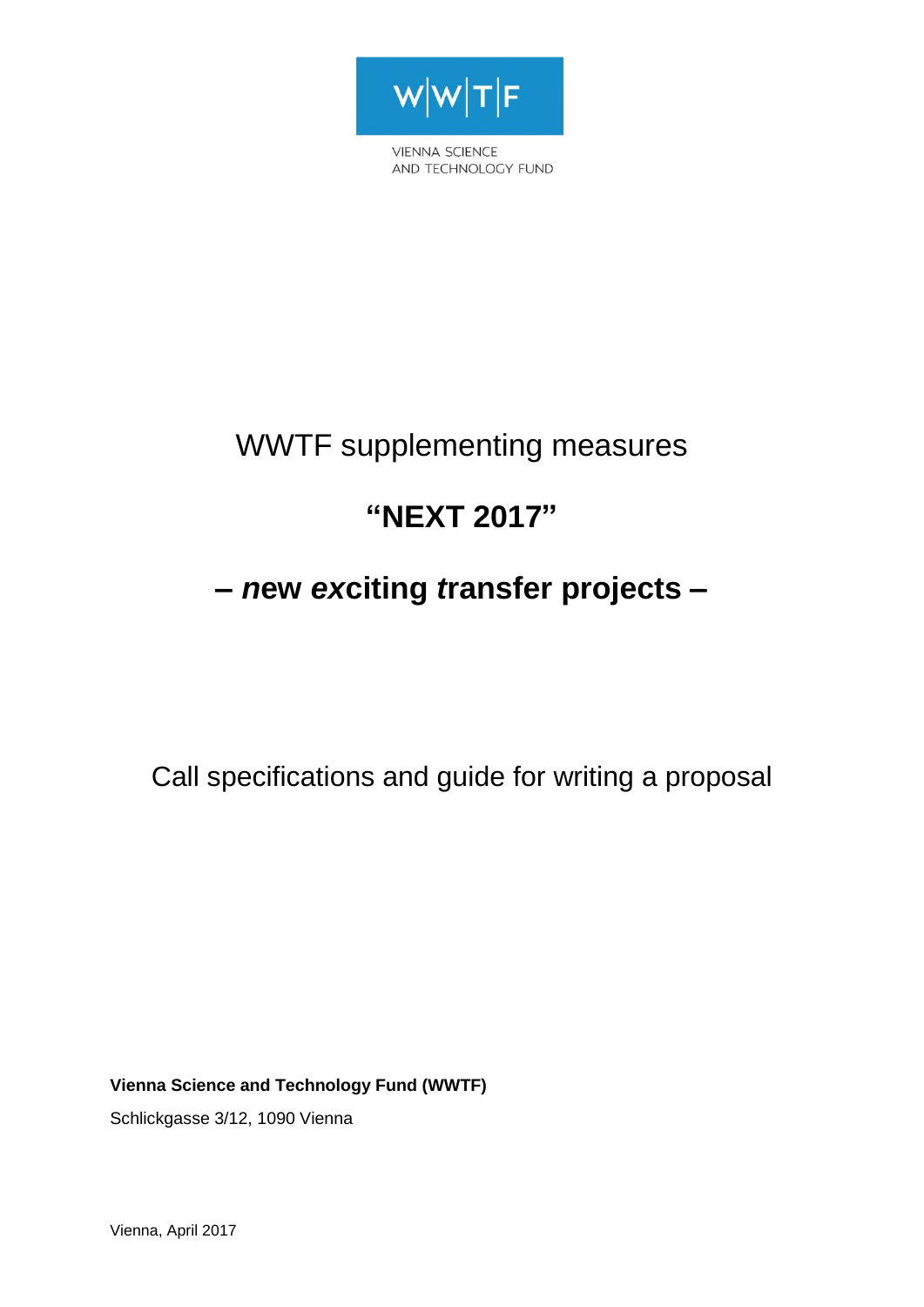

**VIENNA SCIENCE** AND TECHNOLOGY FUND

# WWTF supplementing measures

# **"NEXT 2017"**

# **–** *n***ew** *ex***citing** *t***ransfer projects –**

Call specifications and guide for writing a proposal

**Vienna Science and Technology Fund (WWTF)**

Schlickgasse 3/12, 1090 Vienna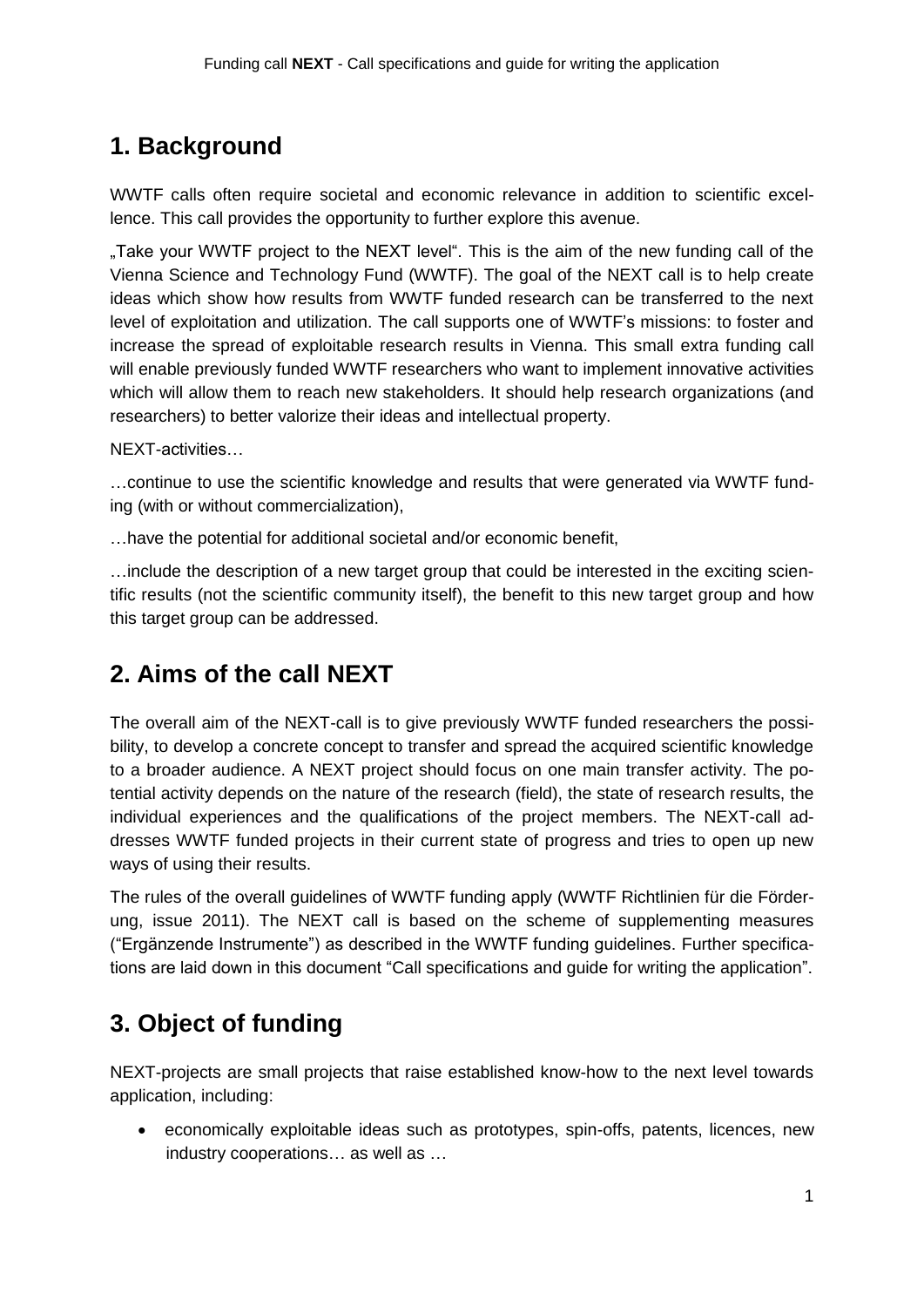## **1. Background**

WWTF calls often require societal and economic relevance in addition to scientific excellence. This call provides the opportunity to further explore this avenue.

.Take your WWTF project to the NEXT level". This is the aim of the new funding call of the Vienna Science and Technology Fund (WWTF). The goal of the NEXT call is to help create ideas which show how results from WWTF funded research can be transferred to the next level of exploitation and utilization. The call supports one of WWTF's missions: to foster and increase the spread of exploitable research results in Vienna. This small extra funding call will enable previously funded WWTF researchers who want to implement innovative activities which will allow them to reach new stakeholders. It should help research organizations (and researchers) to better valorize their ideas and intellectual property.

NEXT-activities…

…continue to use the scientific knowledge and results that were generated via WWTF funding (with or without commercialization),

…have the potential for additional societal and/or economic benefit,

…include the description of a new target group that could be interested in the exciting scientific results (not the scientific community itself), the benefit to this new target group and how this target group can be addressed.

## **2. Aims of the call NEXT**

The overall aim of the NEXT-call is to give previously WWTF funded researchers the possibility, to develop a concrete concept to transfer and spread the acquired scientific knowledge to a broader audience. A NEXT project should focus on one main transfer activity. The potential activity depends on the nature of the research (field), the state of research results, the individual experiences and the qualifications of the project members. The NEXT-call addresses WWTF funded projects in their current state of progress and tries to open up new ways of using their results.

The rules of the overall guidelines of WWTF funding apply (WWTF Richtlinien für die Förderung, issue 2011). The NEXT call is based on the scheme of supplementing measures ("Ergänzende Instrumente") as described in the WWTF funding guidelines. Further specifications are laid down in this document "Call specifications and guide for writing the application".

## **3. Object of funding**

NEXT-projects are small projects that raise established know-how to the next level towards application, including:

 economically exploitable ideas such as prototypes, spin-offs, patents, licences, new industry cooperations… as well as …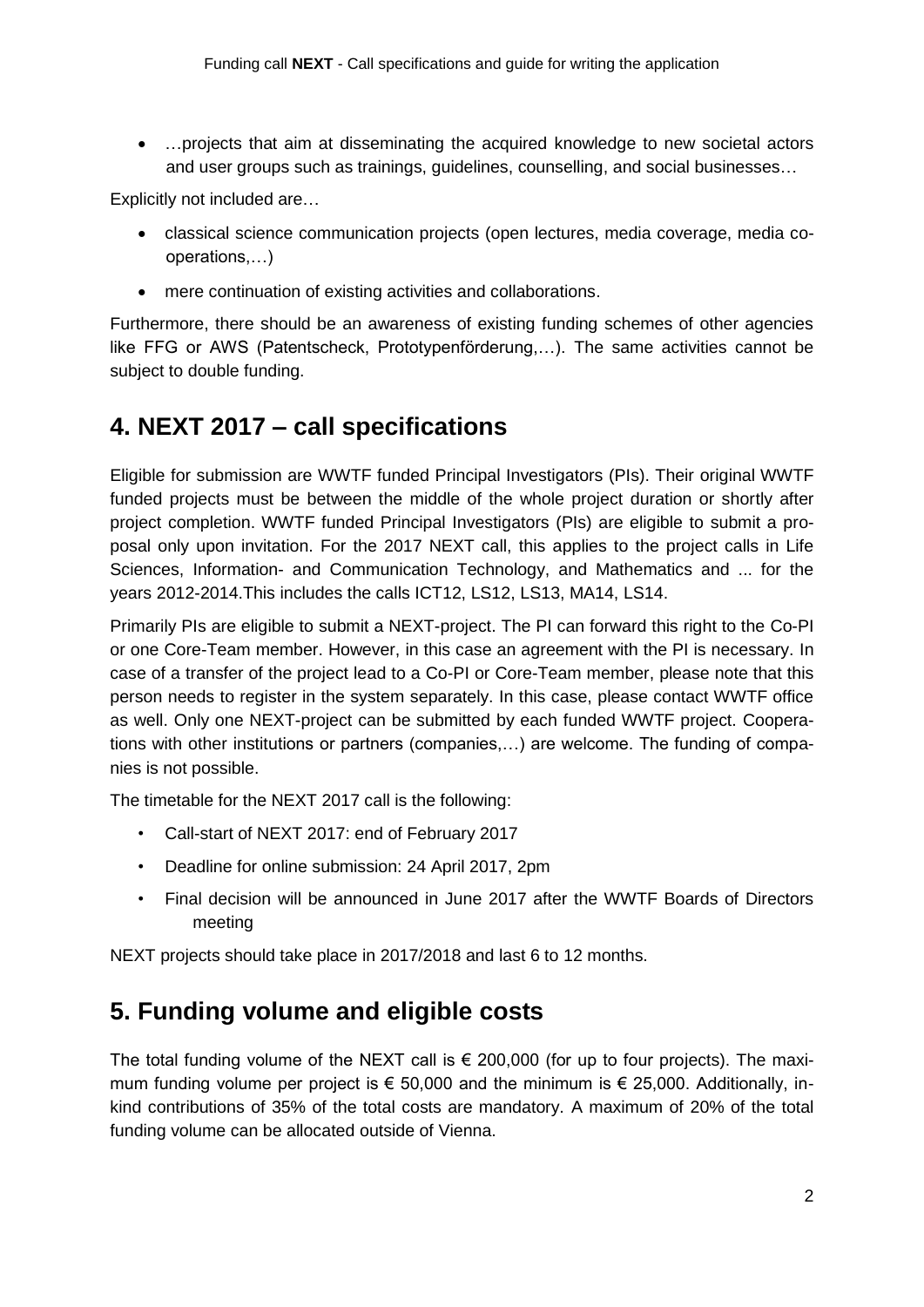…projects that aim at disseminating the acquired knowledge to new societal actors and user groups such as trainings, guidelines, counselling, and social businesses…

Explicitly not included are…

- classical science communication projects (open lectures, media coverage, media cooperations,…)
- mere continuation of existing activities and collaborations.

Furthermore, there should be an awareness of existing funding schemes of other agencies like FFG or AWS (Patentscheck, Prototypenförderung,…). The same activities cannot be subject to double funding.

## **4. NEXT 2017 – call specifications**

Eligible for submission are WWTF funded Principal Investigators (PIs). Their original WWTF funded projects must be between the middle of the whole project duration or shortly after project completion. WWTF funded Principal Investigators (PIs) are eligible to submit a proposal only upon invitation. For the 2017 NEXT call, this applies to the project calls in Life Sciences, Information- and Communication Technology, and Mathematics and ... for the years 2012-2014.This includes the calls ICT12, LS12, LS13, MA14, LS14.

Primarily PIs are eligible to submit a NEXT-project. The PI can forward this right to the Co-PI or one Core-Team member. However, in this case an agreement with the PI is necessary. In case of a transfer of the project lead to a Co-PI or Core-Team member, please note that this person needs to register in the system separately. In this case, please contact WWTF office as well. Only one NEXT-project can be submitted by each funded WWTF project. Cooperations with other institutions or partners (companies,…) are welcome. The funding of companies is not possible.

The timetable for the NEXT 2017 call is the following:

- Call-start of NEXT 2017: end of February 2017
- Deadline for online submission: 24 April 2017, 2pm
- Final decision will be announced in June 2017 after the WWTF Boards of Directors meeting

NEXT projects should take place in 2017/2018 and last 6 to 12 months.

## **5. Funding volume and eligible costs**

The total funding volume of the NEXT call is  $\epsilon$  200,000 (for up to four projects). The maximum funding volume per project is  $\epsilon$  50,000 and the minimum is  $\epsilon$  25,000. Additionally, inkind contributions of 35% of the total costs are mandatory. A maximum of 20% of the total funding volume can be allocated outside of Vienna.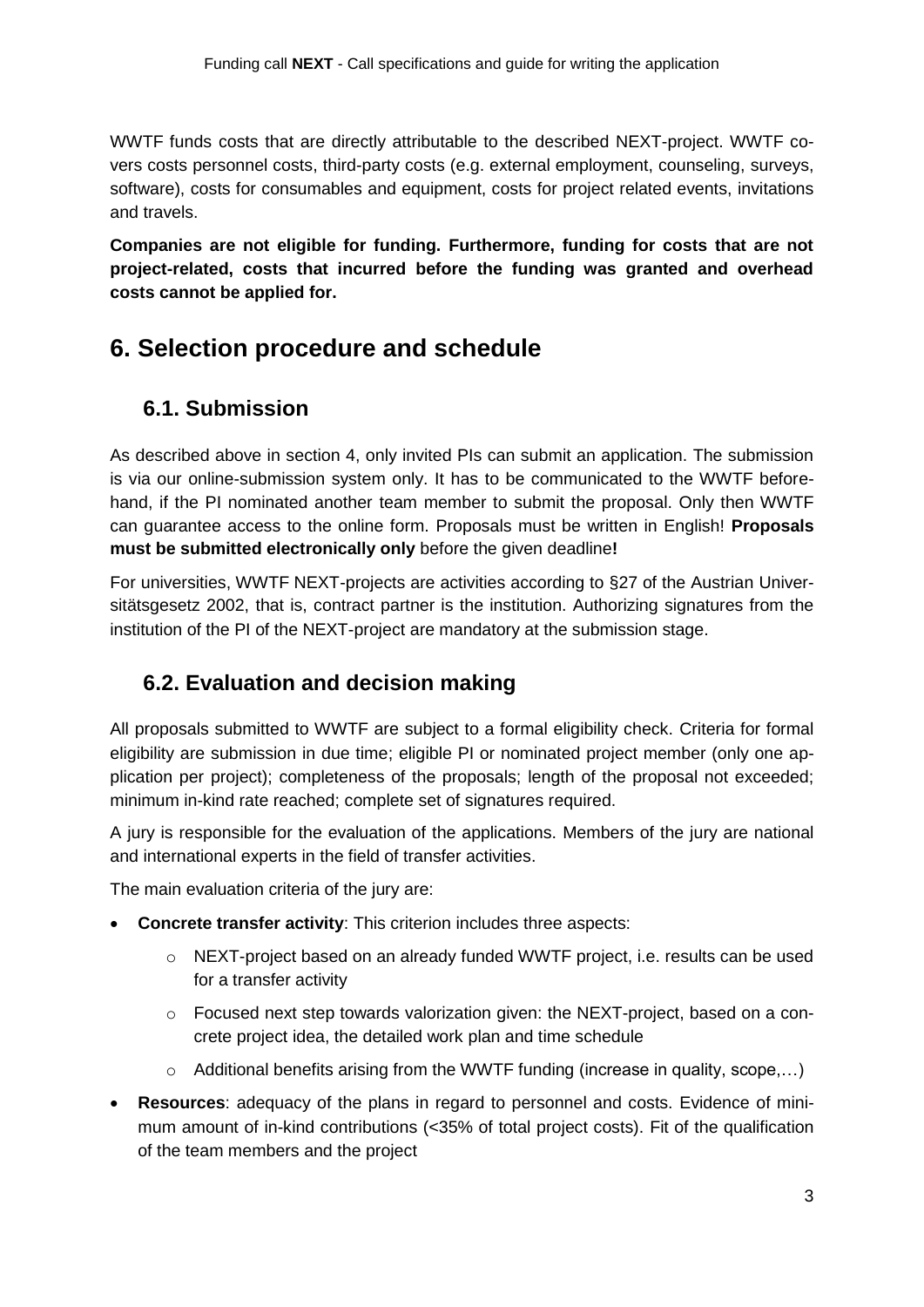WWTF funds costs that are directly attributable to the described NEXT-project. WWTF covers costs personnel costs, third-party costs (e.g. external employment, counseling, surveys, software), costs for consumables and equipment, costs for project related events, invitations and travels.

**Companies are not eligible for funding. Furthermore, funding for costs that are not project-related, costs that incurred before the funding was granted and overhead costs cannot be applied for.**

## **6. Selection procedure and schedule**

### **6.1. Submission**

As described above in section 4, only invited PIs can submit an application. The submission is via our online-submission system only. It has to be communicated to the WWTF beforehand, if the PI nominated another team member to submit the proposal. Only then WWTF can guarantee access to the online form. Proposals must be written in English! **Proposals must be submitted electronically only** before the given deadline**!**

For universities, WWTF NEXT-projects are activities according to §27 of the Austrian Universitätsgesetz 2002, that is, contract partner is the institution. Authorizing signatures from the institution of the PI of the NEXT-project are mandatory at the submission stage.

### **6.2. Evaluation and decision making**

All proposals submitted to WWTF are subject to a formal eligibility check. Criteria for formal eligibility are submission in due time; eligible PI or nominated project member (only one application per project); completeness of the proposals; length of the proposal not exceeded; minimum in-kind rate reached; complete set of signatures required.

A jury is responsible for the evaluation of the applications. Members of the jury are national and international experts in the field of transfer activities.

The main evaluation criteria of the jury are:

- **Concrete transfer activity**: This criterion includes three aspects:
	- o NEXT-project based on an already funded WWTF project, i.e. results can be used for a transfer activity
	- o Focused next step towards valorization given: the NEXT-project, based on a concrete project idea, the detailed work plan and time schedule
	- o Additional benefits arising from the WWTF funding (increase in quality, scope,…)
- **Resources**: adequacy of the plans in regard to personnel and costs. Evidence of minimum amount of in-kind contributions (<35% of total project costs). Fit of the qualification of the team members and the project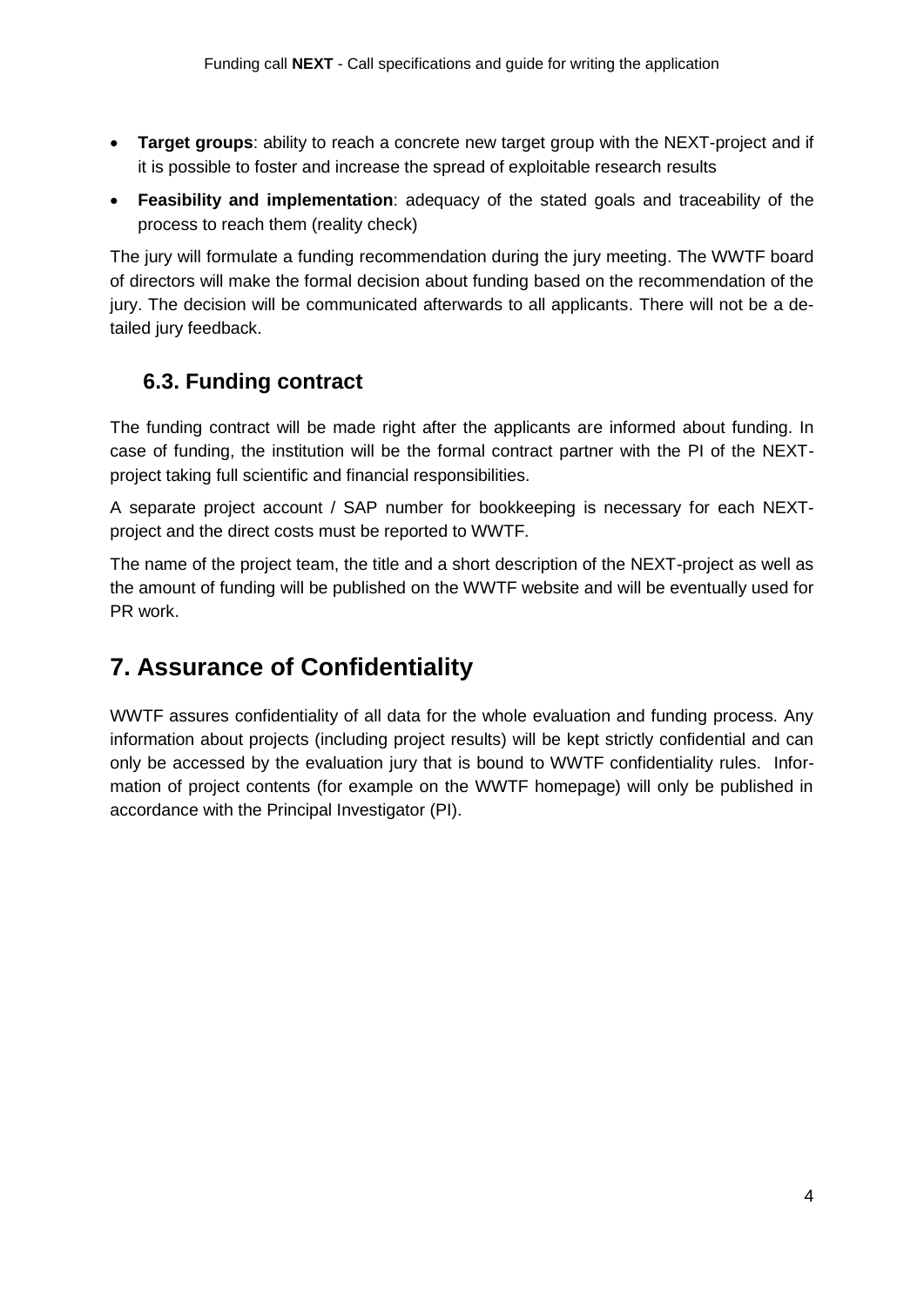- **Target groups**: ability to reach a concrete new target group with the NEXT-project and if it is possible to foster and increase the spread of exploitable research results
- **Feasibility and implementation**: adequacy of the stated goals and traceability of the process to reach them (reality check)

The jury will formulate a funding recommendation during the jury meeting. The WWTF board of directors will make the formal decision about funding based on the recommendation of the jury. The decision will be communicated afterwards to all applicants. There will not be a detailed jury feedback.

### **6.3. Funding contract**

The funding contract will be made right after the applicants are informed about funding. In case of funding, the institution will be the formal contract partner with the PI of the NEXTproject taking full scientific and financial responsibilities.

A separate project account / SAP number for bookkeeping is necessary for each NEXTproject and the direct costs must be reported to WWTF.

The name of the project team, the title and a short description of the NEXT-project as well as the amount of funding will be published on the WWTF website and will be eventually used for PR work.

## **7. Assurance of Confidentiality**

WWTF assures confidentiality of all data for the whole evaluation and funding process. Any information about projects (including project results) will be kept strictly confidential and can only be accessed by the evaluation jury that is bound to WWTF confidentiality rules. Information of project contents (for example on the WWTF homepage) will only be published in accordance with the Principal Investigator (PI).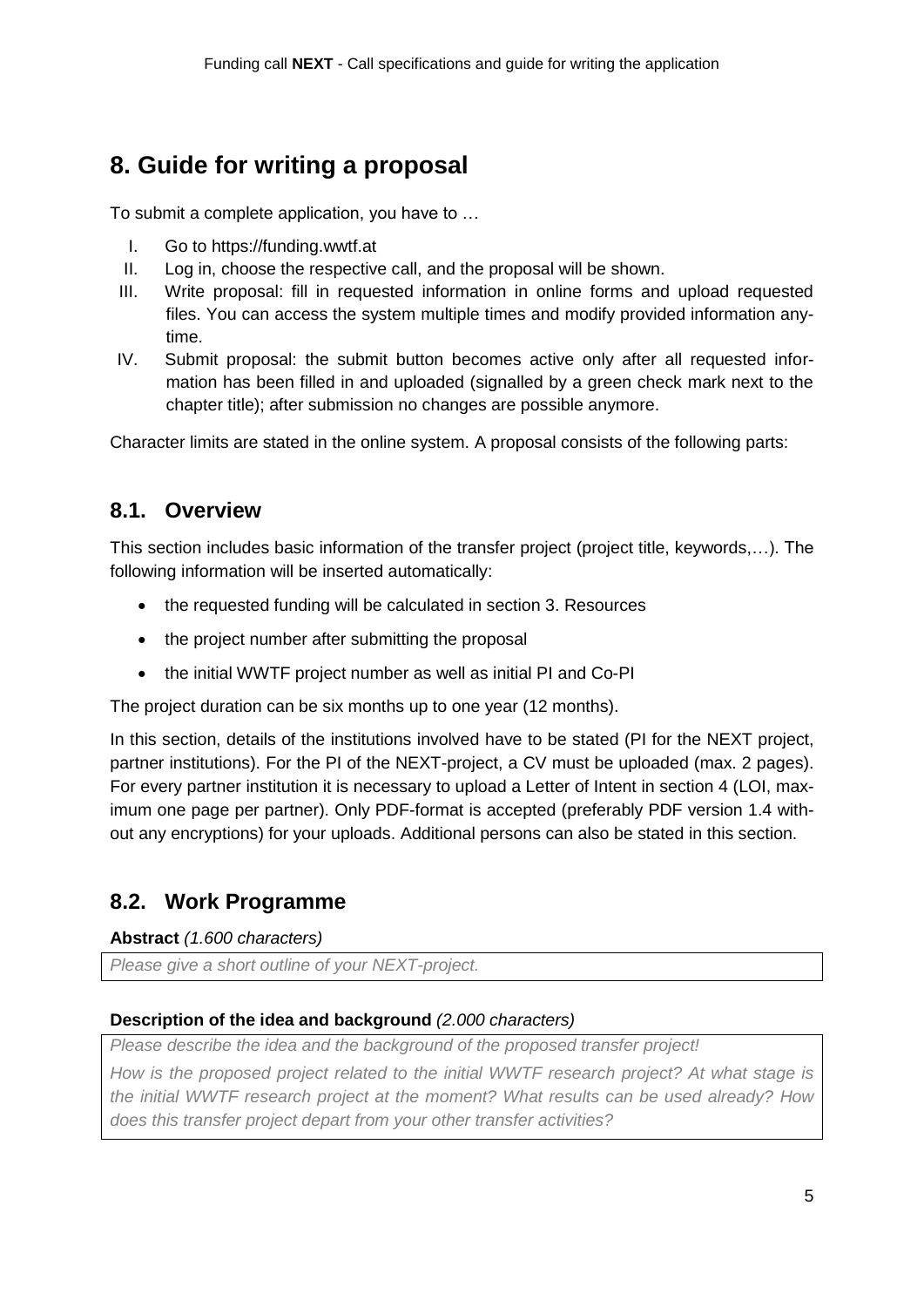## **8. Guide for writing a proposal**

To submit a complete application, you have to …

- I. Go to https://funding.wwtf.at
- II. Log in, choose the respective call, and the proposal will be shown.
- III. Write proposal: fill in requested information in online forms and upload requested files. You can access the system multiple times and modify provided information anytime.
- IV. Submit proposal: the submit button becomes active only after all requested information has been filled in and uploaded (signalled by a green check mark next to the chapter title); after submission no changes are possible anymore.

Character limits are stated in the online system. A proposal consists of the following parts:

### **8.1. Overview**

This section includes basic information of the transfer project (project title, keywords,…). The following information will be inserted automatically:

- the requested funding will be calculated in section 3. Resources
- the project number after submitting the proposal
- the initial WWTF project number as well as initial PI and Co-PI

The project duration can be six months up to one year (12 months).

In this section, details of the institutions involved have to be stated (PI for the NEXT project, partner institutions). For the PI of the NEXT-project, a CV must be uploaded (max. 2 pages). For every partner institution it is necessary to upload a Letter of Intent in section 4 (LOI, maximum one page per partner). Only PDF-format is accepted (preferably PDF version 1.4 without any encryptions) for your uploads. Additional persons can also be stated in this section.

### **8.2. Work Programme**

#### **Abstract** *(1.600 characters)*

*Please give a short outline of your NEXT-project.*

#### **Description of the idea and background** *(2.000 characters)*

*Please describe the idea and the background of the proposed transfer project!*

*How is the proposed project related to the initial WWTF research project? At what stage is the initial WWTF research project at the moment? What results can be used already? How does this transfer project depart from your other transfer activities?*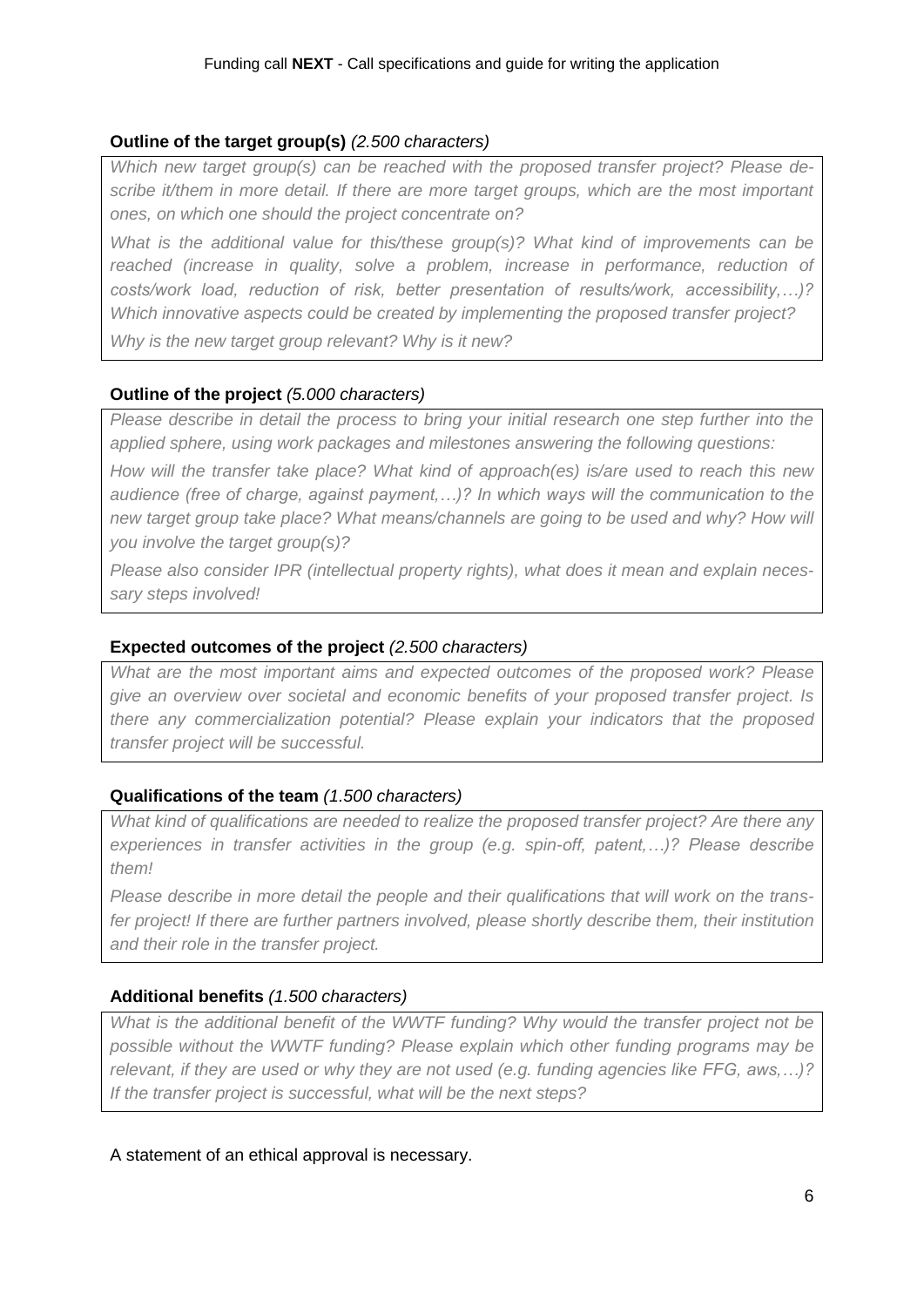#### **Outline of the target group(s)** *(2.500 characters)*

*Which new target group(s) can be reached with the proposed transfer project? Please describe it/them in more detail. If there are more target groups, which are the most important ones, on which one should the project concentrate on?*

*What is the additional value for this/these group(s)? What kind of improvements can be*  reached (increase in quality, solve a problem, increase in performance, reduction of *costs/work load, reduction of risk, better presentation of results/work, accessibility,…)? Which innovative aspects could be created by implementing the proposed transfer project?*

*Why is the new target group relevant? Why is it new?*

#### **Outline of the project** *(5.000 characters)*

*Please describe in detail the process to bring your initial research one step further into the applied sphere, using work packages and milestones answering the following questions:*

*How will the transfer take place? What kind of approach(es) is/are used to reach this new audience (free of charge, against payment,…)? In which ways will the communication to the new target group take place? What means/channels are going to be used and why? How will you involve the target group(s)?*

*Please also consider IPR (intellectual property rights), what does it mean and explain necessary steps involved!*

#### **Expected outcomes of the project** *(2.500 characters)*

*What are the most important aims and expected outcomes of the proposed work? Please give an overview over societal and economic benefits of your proposed transfer project. Is there any commercialization potential? Please explain your indicators that the proposed transfer project will be successful.*

#### **Qualifications of the team** *(1.500 characters)*

*What kind of qualifications are needed to realize the proposed transfer project? Are there any experiences in transfer activities in the group (e.g. spin-off, patent,…)? Please describe them!*

*Please describe in more detail the people and their qualifications that will work on the transfer project! If there are further partners involved, please shortly describe them, their institution and their role in the transfer project.*

#### **Additional benefits** *(1.500 characters)*

*What is the additional benefit of the WWTF funding? Why would the transfer project not be possible without the WWTF funding? Please explain which other funding programs may be relevant, if they are used or why they are not used (e.g. funding agencies like FFG, aws,…)? If the transfer project is successful, what will be the next steps?*

A statement of an ethical approval is necessary.